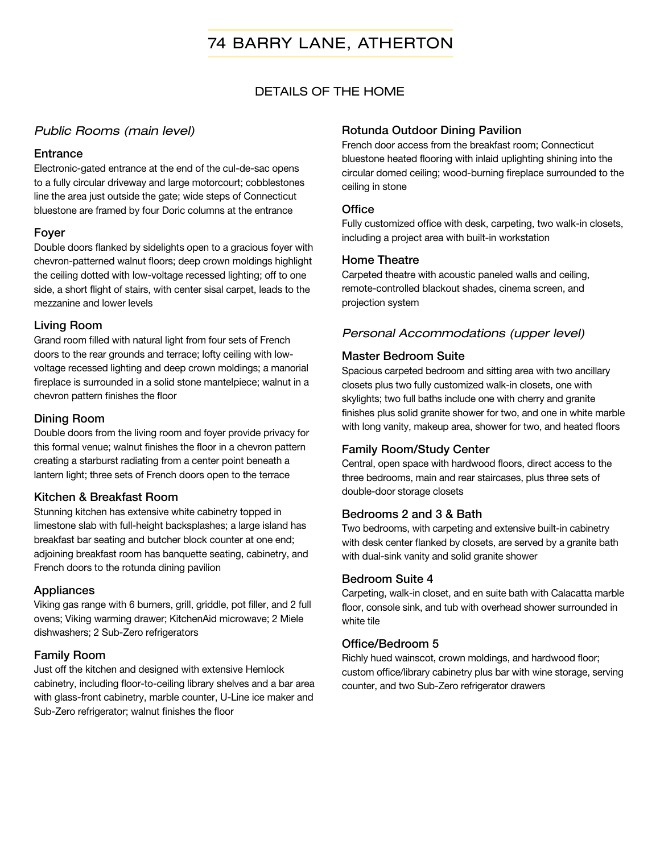# 74 BARRY LANE, ATHERTON

## DETAILS OF THE HOME

#### *Public Rooms (main level)*

#### **Entrance**

Electronic-gated entrance at the end of the cul-de-sac opens to a fully circular driveway and large motorcourt; cobblestones line the area just outside the gate; wide steps of Connecticut bluestone are framed by four Doric columns at the entrance

#### Foyer

Double doors flanked by sidelights open to a gracious foyer with chevron-patterned walnut floors; deep crown moldings highlight the ceiling dotted with low-voltage recessed lighting; off to one side, a short flight of stairs, with center sisal carpet, leads to the mezzanine and lower levels

#### Living Room

Grand room filled with natural light from four sets of French doors to the rear grounds and terrace; lofty ceiling with lowvoltage recessed lighting and deep crown moldings; a manorial fireplace is surrounded in a solid stone mantelpiece; walnut in a chevron pattern finishes the floor

#### Dining Room

Double doors from the living room and foyer provide privacy for this formal venue; walnut finishes the floor in a chevron pattern creating a starburst radiating from a center point beneath a lantern light; three sets of French doors open to the terrace

#### Kitchen & Breakfast Room

Stunning kitchen has extensive white cabinetry topped in limestone slab with full-height backsplashes; a large island has breakfast bar seating and butcher block counter at one end; adjoining breakfast room has banquette seating, cabinetry, and French doors to the rotunda dining pavilion

#### Appliances

Viking gas range with 6 burners, grill, griddle, pot filler, and 2 full ovens; Viking warming drawer; KitchenAid microwave; 2 Miele dishwashers; 2 Sub-Zero refrigerators

### Family Room

Just off the kitchen and designed with extensive Hemlock cabinetry, including floor-to-ceiling library shelves and a bar area with glass-front cabinetry, marble counter, U-Line ice maker and Sub-Zero refrigerator; walnut finishes the floor

#### Rotunda Outdoor Dining Pavilion

French door access from the breakfast room; Connecticut bluestone heated flooring with inlaid uplighting shining into the circular domed ceiling; wood-burning fireplace surrounded to the ceiling in stone

#### **Office**

Fully customized office with desk, carpeting, two walk-in closets, including a project area with built-in workstation

#### Home Theatre

Carpeted theatre with acoustic paneled walls and ceiling, remote-controlled blackout shades, cinema screen, and projection system

### *Personal Accommodations (upper level)*

#### Master Bedroom Suite

Spacious carpeted bedroom and sitting area with two ancillary closets plus two fully customized walk-in closets, one with skylights; two full baths include one with cherry and granite finishes plus solid granite shower for two, and one in white marble with long vanity, makeup area, shower for two, and heated floors

#### Family Room/Study Center

Central, open space with hardwood floors, direct access to the three bedrooms, main and rear staircases, plus three sets of double-door storage closets

#### Bedrooms 2 and 3 & Bath

Two bedrooms, with carpeting and extensive built-in cabinetry with desk center flanked by closets, are served by a granite bath with dual-sink vanity and solid granite shower

#### Bedroom Suite 4

Carpeting, walk-in closet, and en suite bath with Calacatta marble floor, console sink, and tub with overhead shower surrounded in white tile

#### Office/Bedroom 5

Richly hued wainscot, crown moldings, and hardwood floor; custom office/library cabinetry plus bar with wine storage, serving counter, and two Sub-Zero refrigerator drawers